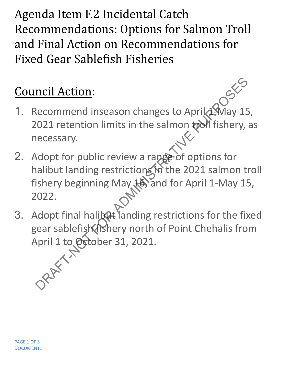Agenda Item F.2 Incidental Catch Recommendations: Options for Salmon Troll and Final Action on Recommendations for Fixed Gear Sablefish Fisheries

## Council Action:

- 1. Recommend inseason changes to April 1May 15, 2021 retention limits in the salmon tool fishery, as necessary. necessary.
- 2. Adopt for public review a range of options for halibut landing restrictions in the 2021 salmon troll fishery beginning May 16, and for April 1-May 15, 2022. mold Action:<br>
Recommend inseason changes to April AMay 15<br>
1021 retention limits in the salmon tool fishery,<br>
Hecessary.<br>
Ndopt for public review a range of options for<br>
nalibut landing restrictions in the 2021 salmon to<br>
- 3. Adopt final halibert landing restrictions for the fixed gear sablefish fishery north of Point Chehalis from April 1 to *October* 31, 2021.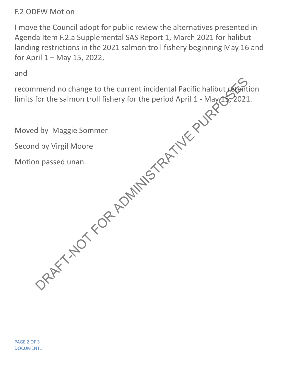F.2 ODFW Motion

I move the Council adopt for public review the alternatives presented in Agenda Item F.2.a Supplemental SAS Report 1, March 2021 for halibut landing restrictions in the 2021 salmon troll fishery beginning May 16 and for April 1 – May 15, 2022,

and

recommend no change to the current incidental Pacific halibut retention limits for the salmon troll fishery for the period April 1 - May  $(15, 2021.$ Manuel Manuel to the current incidental Pacific halibut After<br>for the salmon troll fishery for the period April 1 - May 15, 2021<br>d by Maggie Sommer<br>d by Virgil Moore<br>in passed unan.<br>passed unan.<br> $\frac{1}{2}$ <br> $\frac{1}{2}$ 

Moved by Maggie Sommer

Second by Virgil Moore

Motion passed unan.